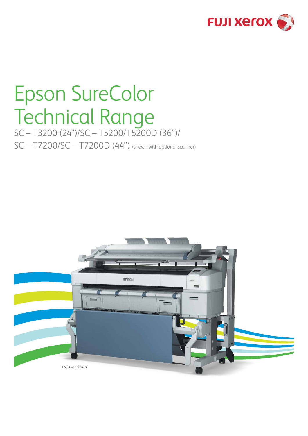

## Epson SureColor Technical Range

SC – T3200 (24")/SC – T5200/T5200D (36")/ SC – T7200/SC – T7200D (44") (shown with optional scanner)